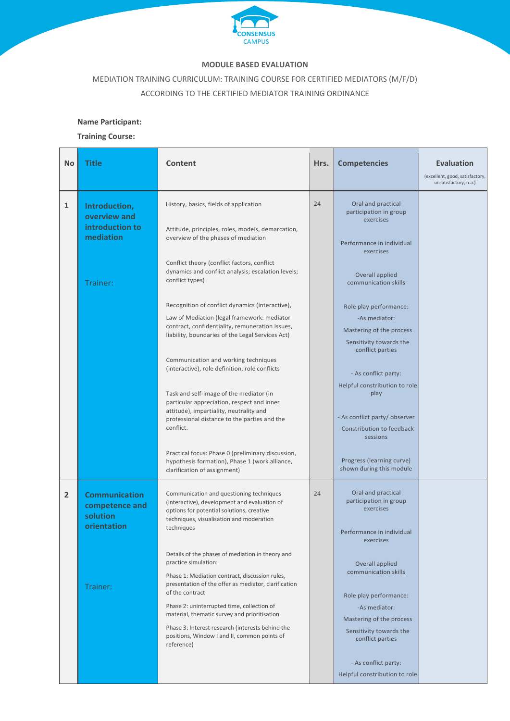

## **MODULE BASED EVALUATION**

MEDIATION TRAINING CURRICULUM: TRAINING COURSE FOR CERTIFIED MEDIATORS (M/F/D) ACCORDING TO THE CERTIFIED MEDIATOR TRAINING ORDINANCE

## **Name Participant:**

**Training Course:**

| <b>No</b>      | Title                                                                         | Content                                                                                                                                                                                                                                                                                                                                                                                                                                                                                                                                                                                                                                                                                                                                                                                                                                                                                               | Hrs. | <b>Competencies</b>                                                                                                                                                                                                                                                                                                                                                                                                                                                      | <b>Evaluation</b><br>(excellent, good, satisfactory,<br>unsatisfactory, n.a.) |
|----------------|-------------------------------------------------------------------------------|-------------------------------------------------------------------------------------------------------------------------------------------------------------------------------------------------------------------------------------------------------------------------------------------------------------------------------------------------------------------------------------------------------------------------------------------------------------------------------------------------------------------------------------------------------------------------------------------------------------------------------------------------------------------------------------------------------------------------------------------------------------------------------------------------------------------------------------------------------------------------------------------------------|------|--------------------------------------------------------------------------------------------------------------------------------------------------------------------------------------------------------------------------------------------------------------------------------------------------------------------------------------------------------------------------------------------------------------------------------------------------------------------------|-------------------------------------------------------------------------------|
| $\mathbf{1}$   | Introduction,<br>overview and<br>introduction to<br>mediation<br>Trainer:     | History, basics, fields of application<br>Attitude, principles, roles, models, demarcation,<br>overview of the phases of mediation<br>Conflict theory (conflict factors, conflict<br>dynamics and conflict analysis; escalation levels;<br>conflict types)<br>Recognition of conflict dynamics (interactive),<br>Law of Mediation (legal framework: mediator<br>contract, confidentiality, remuneration Issues,<br>liability, boundaries of the Legal Services Act)<br>Communication and working techniques<br>(interactive), role definition, role conflicts<br>Task and self-image of the mediator (in<br>particular appreciation, respect and inner<br>attitude), impartiality, neutrality and<br>professional distance to the parties and the<br>conflict.<br>Practical focus: Phase 0 (preliminary discussion,<br>hypothesis formation), Phase 1 (work alliance,<br>clarification of assignment) | 24   | Oral and practical<br>participation in group<br>exercises<br>Performance in individual<br>exercises<br>Overall applied<br>communication skills<br>Role play performance:<br>-As mediator:<br>Mastering of the process<br>Sensitivity towards the<br>conflict parties<br>- As conflict party:<br>Helpful constribution to role<br>play<br>- As conflict party/ observer<br>Constribution to feedback<br>sessions<br>Progress (learning curve)<br>shown during this module |                                                                               |
| $\overline{2}$ | <b>Communication</b><br>competence and<br>solution<br>orientation<br>Trainer: | Communication and questioning techniques<br>(interactive), development and evaluation of<br>options for potential solutions, creative<br>techniques, visualisation and moderation<br>techniques<br>Details of the phases of mediation in theory and<br>practice simulation:<br>Phase 1: Mediation contract, discussion rules,<br>presentation of the offer as mediator, clarification<br>of the contract<br>Phase 2: uninterrupted time, collection of<br>material, thematic survey and prioritisation<br>Phase 3: Interest research (interests behind the<br>positions, Window I and II, common points of<br>reference)                                                                                                                                                                                                                                                                              | 24   | Oral and practical<br>participation in group<br>exercises<br>Performance in individual<br>exercises<br>Overall applied<br>communication skills<br>Role play performance:<br>-As mediator:<br>Mastering of the process<br>Sensitivity towards the<br>conflict parties<br>- As conflict party:<br>Helpful constribution to role                                                                                                                                            |                                                                               |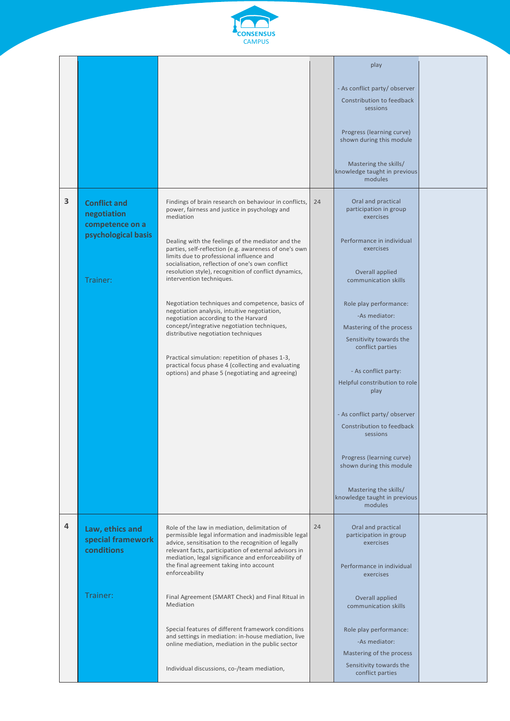

|   |                                                                                          |                                                                                                                                                                                                                                                                                                                                                                                                                                                                                                                                                                                                                                                                                                                                                                                                                    |    | play<br>- As conflict party/ observer<br>Constribution to feedback<br>sessions<br>Progress (learning curve)<br>shown during this module<br>Mastering the skills/<br>knowledge taught in previous<br>modules                                                                                                                                                                                                                                                                                                                                 |  |
|---|------------------------------------------------------------------------------------------|--------------------------------------------------------------------------------------------------------------------------------------------------------------------------------------------------------------------------------------------------------------------------------------------------------------------------------------------------------------------------------------------------------------------------------------------------------------------------------------------------------------------------------------------------------------------------------------------------------------------------------------------------------------------------------------------------------------------------------------------------------------------------------------------------------------------|----|---------------------------------------------------------------------------------------------------------------------------------------------------------------------------------------------------------------------------------------------------------------------------------------------------------------------------------------------------------------------------------------------------------------------------------------------------------------------------------------------------------------------------------------------|--|
| 3 | <b>Conflict and</b><br>negotiation<br>competence on a<br>psychological basis<br>Trainer: | Findings of brain research on behaviour in conflicts,<br>power, fairness and justice in psychology and<br>mediation<br>Dealing with the feelings of the mediator and the<br>parties, self-reflection (e.g. awareness of one's own<br>limits due to professional influence and<br>socialisation, reflection of one's own conflict<br>resolution style), recognition of conflict dynamics,<br>intervention techniques.<br>Negotiation techniques and competence, basics of<br>negotiation analysis, intuitive negotiation,<br>negotiation according to the Harvard<br>concept/integrative negotiation techniques,<br>distributive negotiation techniques<br>Practical simulation: repetition of phases 1-3,<br>practical focus phase 4 (collecting and evaluating<br>options) and phase 5 (negotiating and agreeing) | 24 | Oral and practical<br>participation in group<br>exercises<br>Performance in individual<br>exercises<br>Overall applied<br>communication skills<br>Role play performance:<br>-As mediator:<br>Mastering of the process<br>Sensitivity towards the<br>conflict parties<br>- As conflict party:<br>Helpful constribution to role<br>play<br>- As conflict party/observer<br>Constribution to feedback<br>sessions<br>Progress (learning curve)<br>shown during this module<br>Mastering the skills/<br>knowledge taught in previous<br>modules |  |
| 4 | Law, ethics and<br>special framework<br>conditions<br>Trainer:                           | Role of the law in mediation, delimitation of<br>permissible legal information and inadmissible legal<br>advice, sensitisation to the recognition of legally<br>relevant facts, participation of external advisors in<br>mediation, legal significance and enforceability of<br>the final agreement taking into account<br>enforceability<br>Final Agreement (SMART Check) and Final Ritual in<br>Mediation<br>Special features of different framework conditions<br>and settings in mediation: in-house mediation, live<br>online mediation, mediation in the public sector<br>Individual discussions, co-/team mediation,                                                                                                                                                                                        | 24 | Oral and practical<br>participation in group<br>exercises<br>Performance in individual<br>exercises<br>Overall applied<br>communication skills<br>Role play performance:<br>-As mediator:<br>Mastering of the process<br>Sensitivity towards the<br>conflict parties                                                                                                                                                                                                                                                                        |  |